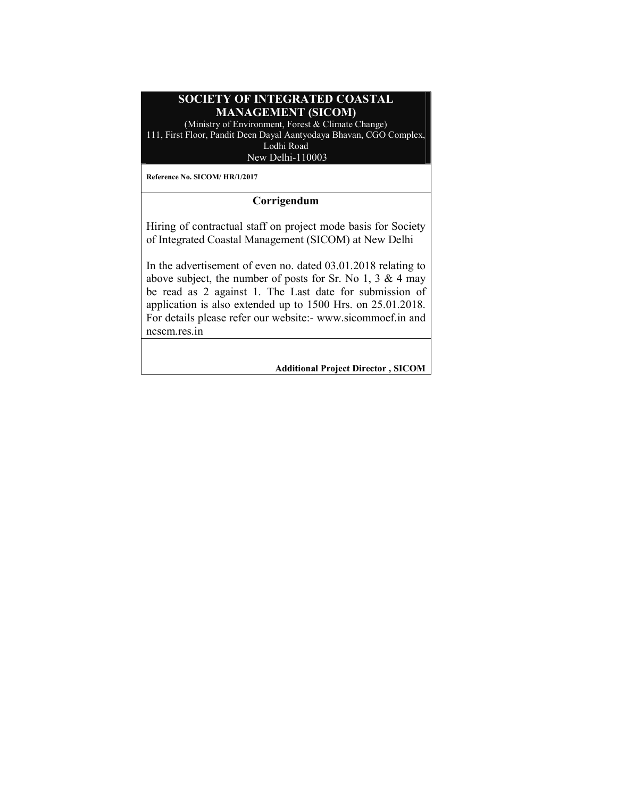## SOCIETY OF INTEGRATED COASTAL MANAGEMENT (SICOM)

(Ministry of Environment, Forest & Climate Change) 111, First Floor, Pandit Deen Dayal Aantyodaya Bhavan, CGO Complex, Lodhi Road

New Delhi-110003

Reference No. SICOM/ HR/1/2017

## Corrigendum

Hiring of contractual staff on project mode basis for Society of Integrated Coastal Management (SICOM) at New Delhi

In the advertisement of even no. dated 03.01.2018 relating to above subject, the number of posts for Sr. No 1, 3 & 4 may be read as 2 against 1. The Last date for submission of application is also extended up to 1500 Hrs. on 25.01.2018. For details please refer our website:- www.sicommoef.in and ncscm.res.in

Additional Project Director , SICOM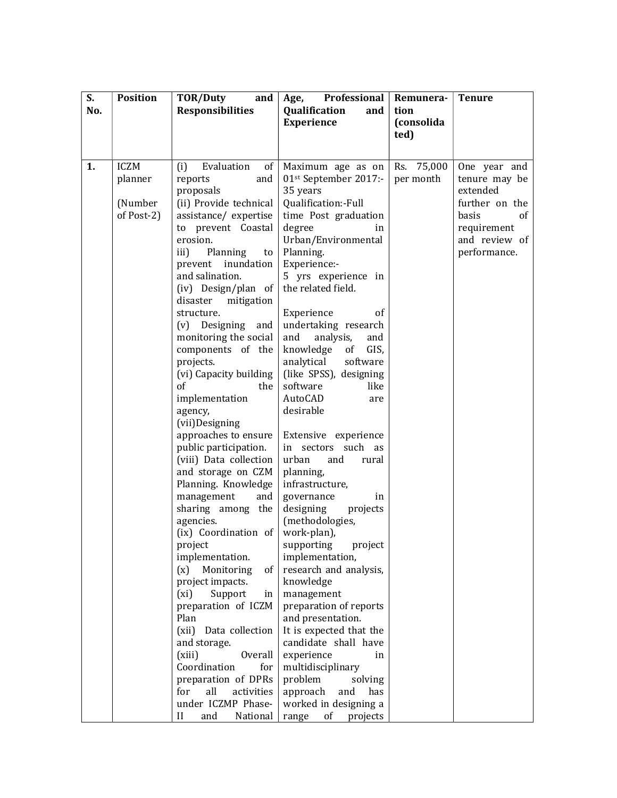| S.  | <b>Position</b> | <b>TOR/Duty</b><br>and              | Professional<br>Age,                        | Remunera-  | <b>Tenure</b>  |
|-----|-----------------|-------------------------------------|---------------------------------------------|------------|----------------|
| No. |                 | <b>Responsibilities</b>             | Qualification<br>and                        | tion       |                |
|     |                 |                                     | <b>Experience</b>                           | (consolida |                |
|     |                 |                                     |                                             | ted)       |                |
|     |                 |                                     |                                             |            |                |
| 1.  | <b>ICZM</b>     | Evaluation<br>(i)<br>of             | Maximum age as on                           | Rs. 75,000 | One year and   |
|     | planner         | reports<br>and                      | 01st September 2017:-                       | per month  | tenure may be  |
|     |                 | proposals                           | 35 years                                    |            | extended       |
|     | (Number         | (ii) Provide technical              | Qualification:-Full                         |            | further on the |
|     | of Post-2)      | assistance/expertise                | time Post graduation                        |            | basis<br>of    |
|     |                 | to prevent Coastal                  | degree<br>in                                |            | requirement    |
|     |                 | erosion.                            | Urban/Environmental                         |            | and review of  |
|     |                 | Planning<br>iii)<br>to              | Planning.                                   |            | performance.   |
|     |                 | prevent inundation                  | Experience:-                                |            |                |
|     |                 | and salination.                     | 5 yrs experience in                         |            |                |
|     |                 | (iv) Design/plan of                 | the related field.                          |            |                |
|     |                 | disaster<br>mitigation              |                                             |            |                |
|     |                 | structure.                          | Experience<br><sub>of</sub>                 |            |                |
|     |                 | (v) Designing and                   | undertaking research                        |            |                |
|     |                 | monitoring the social               | analysis,<br>and<br>and                     |            |                |
|     |                 | components of the                   | GIS,<br>knowledge<br>of<br>analytical       |            |                |
|     |                 | projects.<br>(vi) Capacity building | software<br>(like SPSS), designing          |            |                |
|     |                 | of<br>the                           | software<br>like                            |            |                |
|     |                 | implementation                      | AutoCAD<br>are                              |            |                |
|     |                 | agency,                             | desirable                                   |            |                |
|     |                 | (vii)Designing                      |                                             |            |                |
|     |                 | approaches to ensure                | Extensive experience                        |            |                |
|     |                 | public participation.               | in sectors such as                          |            |                |
|     |                 | (viii) Data collection              | urban<br>and<br>rural                       |            |                |
|     |                 | and storage on CZM                  | planning,                                   |            |                |
|     |                 | Planning. Knowledge                 | infrastructure,                             |            |                |
|     |                 | management<br>and                   | governance<br>in                            |            |                |
|     |                 | sharing among the                   | designing<br>projects                       |            |                |
|     |                 | agencies.                           | (methodologies,                             |            |                |
|     |                 | (ix) Coordination of                | work-plan),                                 |            |                |
|     |                 | project                             | project<br>supporting                       |            |                |
|     |                 | implementation.                     | implementation,                             |            |                |
|     |                 | Monitoring<br>(x)<br>of             | research and analysis,                      |            |                |
|     |                 | project impacts.                    | knowledge                                   |            |                |
|     |                 | Support<br>(xi)<br>in               | management                                  |            |                |
|     |                 | preparation of ICZM<br>Plan         | preparation of reports<br>and presentation. |            |                |
|     |                 | Data collection<br>(xii)            | It is expected that the                     |            |                |
|     |                 | and storage.                        | candidate shall have                        |            |                |
|     |                 | <b>Overall</b><br>(xiii)            | experience<br>in                            |            |                |
|     |                 | Coordination<br>for                 | multidisciplinary                           |            |                |
|     |                 | preparation of DPRs                 | problem<br>solving                          |            |                |
|     |                 | for<br>all<br>activities            | approach<br>and<br>has                      |            |                |
|     |                 | under ICZMP Phase-                  | worked in designing a                       |            |                |
|     |                 | $_{\rm II}$<br>and<br>National      | range<br>of<br>projects                     |            |                |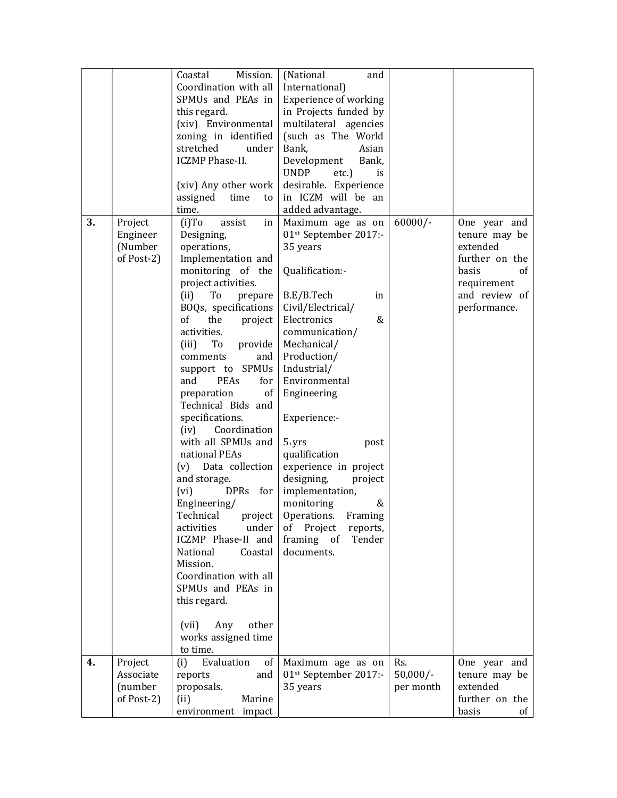| 3. | Project<br>Engineer<br>(Number<br>of Post-2)  | Coastal<br>Mission.<br>Coordination with all<br>SPMUs and PEAs in<br>this regard.<br>(xiv) Environmental<br>zoning in identified<br>stretched<br>under<br><b>ICZMP Phase-II.</b><br>(xiv) Any other work<br>assigned<br>time<br>to<br>time.<br>$(i)$ To<br>assist<br>in<br>Designing,<br>operations,<br>Implementation and<br>monitoring of the<br>project activities.<br>(ii)<br>To<br>prepare<br>BOQs, specifications<br>of<br>the<br>project<br>activities.<br>(iii)<br>To<br>provide<br>and<br>comments<br>support to SPMUs<br><b>PEAs</b><br>and<br>for<br>preparation<br>of<br>Technical Bids and<br>specifications.<br>Coordination<br>(iv)<br>with all SPMUs and<br>national PEAs<br>Data collection<br>(v)<br>and storage.<br>(vi)<br><b>DPRs</b><br>for<br>Engineering/<br>Technical<br>project<br>activities<br>under<br>ICZMP Phase-II and<br>Coastal<br>National<br>Mission.<br>Coordination with all<br>SPMUs and PEAs in | (National<br>and<br>International)<br><b>Experience of working</b><br>in Projects funded by<br>multilateral agencies<br>(such as The World<br>Bank,<br>Asian<br>Development<br>Bank,<br><b>UNDP</b><br>$etc.$ )<br>is<br>desirable. Experience<br>in ICZM will be an<br>added advantage.<br>Maximum age as on<br>01st September 2017:-<br>35 years<br>Qualification:-<br>B.E/B.Tech<br>in<br>Civil/Electrical/<br>Electronics<br>&<br>communication/<br>Mechanical/<br>Production/<br>Industrial/<br>Environmental<br>Engineering<br>Experience:-<br>$5+yrs$<br>post<br>qualification<br>experience in project<br>designing,<br>project<br>implementation,<br>monitoring<br>&<br>Operations.<br>Framing<br>Project<br>of<br>reports,<br>framing of<br>Tender<br>documents. | $60000/-$                      | One year and<br>tenure may be<br>extended<br>further on the<br>basis<br>of<br>requirement<br>and review of<br>performance. |
|----|-----------------------------------------------|-----------------------------------------------------------------------------------------------------------------------------------------------------------------------------------------------------------------------------------------------------------------------------------------------------------------------------------------------------------------------------------------------------------------------------------------------------------------------------------------------------------------------------------------------------------------------------------------------------------------------------------------------------------------------------------------------------------------------------------------------------------------------------------------------------------------------------------------------------------------------------------------------------------------------------------------|----------------------------------------------------------------------------------------------------------------------------------------------------------------------------------------------------------------------------------------------------------------------------------------------------------------------------------------------------------------------------------------------------------------------------------------------------------------------------------------------------------------------------------------------------------------------------------------------------------------------------------------------------------------------------------------------------------------------------------------------------------------------------|--------------------------------|----------------------------------------------------------------------------------------------------------------------------|
|    |                                               | this regard.<br>other<br>(vii)<br>Any<br>works assigned time<br>to time.                                                                                                                                                                                                                                                                                                                                                                                                                                                                                                                                                                                                                                                                                                                                                                                                                                                                |                                                                                                                                                                                                                                                                                                                                                                                                                                                                                                                                                                                                                                                                                                                                                                            |                                |                                                                                                                            |
| 4. | Project<br>Associate<br>(number<br>of Post-2) | Evaluation<br>(i)<br>of<br>reports<br>and<br>proposals.<br>(ii)<br>Marine<br>environment impact                                                                                                                                                                                                                                                                                                                                                                                                                                                                                                                                                                                                                                                                                                                                                                                                                                         | Maximum age as on<br>01st September 2017:-<br>35 years                                                                                                                                                                                                                                                                                                                                                                                                                                                                                                                                                                                                                                                                                                                     | Rs.<br>$50,000/-$<br>per month | One year and<br>tenure may be<br>extended<br>further on the<br>basis<br>of                                                 |